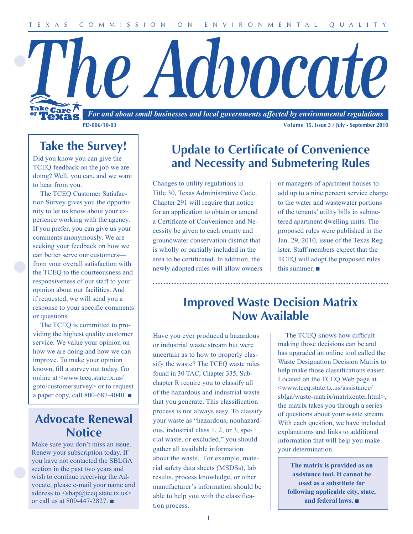# l'he Advocate Take Care *For and about small businesses and local governments affected by environmental regulations*

**PD-006/10-03 Volume 15, Issue 3 / July - September 2010**

**Take the Survey!**

Did you know you can give the TCEQ feedback on the job we are doing? Well, you can, and we want to hear from you.

The TCEQ Customer Satisfaction Survey gives you the opportunity to let us know about your experience working with the agency. If you prefer, you can give us your comments anonymously. We are seeking your feedback on how we can better serve our customers from your overall satisfaction with the TCEQ to the courteousness and responsiveness of our staff to your opinion about our facilities. And if requested, we will send you a response to your specific comments or questions.

The TCEQ is committed to providing the highest quality customer service. We value your opinion on how we are doing and how we can improve. To make your opinion known, fill a survey out today. Go online at <www.tceq.state.tx.us/ goto/customersurvey> or to request a paper copy, call 800-687-4040. ■

### **Advocate Renewal Notice**

Make sure you don't miss an issue. Renew your subscription today. If you have not contacted the SBLGA section in the past two years and wish to continue receiving the Advocate, please e-mail your name and address to  $\langle$ sbap $\omega$ tceq.state.tx.us $>$ or call us at 800-447-2827. ■

## **Update to Certificate of Convenience and Necessity and Submetering Rules**

Changes to utility regulations in Title 30, Texas Administrative Code, Chapter 291 will require that notice for an application to obtain or amend a Certificate of Convenience and Necessity be given to each county and groundwater conservation district that is wholly or partially included in the area to be certificated. In addition, the newly adopted rules will allow owners or managers of apartment houses to add up to a nine percent service charge to the water and wastewater portions of the tenants' utility bills in submetered apartment dwelling units. The proposed rules were published in the Jan. 29, 2010, issue of the Texas Register. Staff members expect that the TCEQ will adopt the proposed rules this summer. ■

### **Improved Waste Decision Matrix Now Available**

Have you ever produced a hazardous or industrial waste stream but were uncertain as to how to properly classify the waste? The TCEQ waste rules found in 30 TAC, Chapter 335, Subchapter R require you to classify all of the hazardous and industrial waste that you generate. This classification process is not always easy. To classify your waste as "hazardous, nonhazardous, industrial class 1, 2, or 3, special waste, or excluded," you should gather all available information about the waste. For example, material safety data sheets (MSDSs), lab results, process knowledge, or other manufacturer's information should be able to help you with the classification process.

The TCEQ knows how difficult making those decisions can be and has upgraded an online tool called the Waste Designation Decision Matrix to help make those classifications easier. Located on the TCEQ Web page at <www.tceq.state.tx.us/assistance/ sblga/waste-matrix/matrixenter.html>, the matrix takes you through a series of questions about your waste stream. With each question, we have included explanations and links to additional information that will help you make your determination.

**The matrix is provided as an assistance tool. It cannot be used as a substitute for following applicable city, state, and federal laws.** ■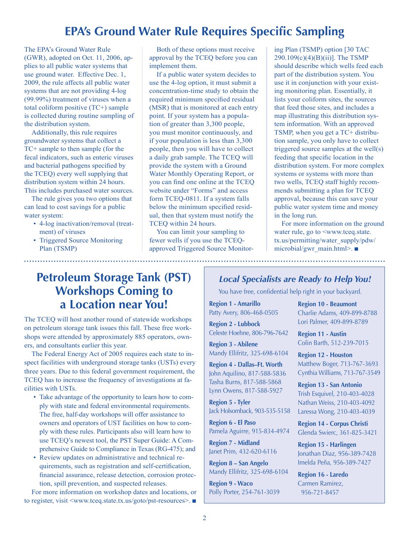## **EPA's Ground Water Rule Requires Specific Sampling**

The EPA's Ground Water Rule (GWR), adopted on Oct. 11, 2006, applies to all public water systems that use ground water. Effective Dec. 1, 2009, the rule affects all public water systems that are not providing 4-log (99.99%) treatment of viruses when a total coliform positive (TC+) sample is collected during routine sampling of the distribution system.

Additionally, this rule requires groundwater systems that collect a TC+ sample to then sample (for the fecal indicators, such as enteric viruses and bacterial pathogens specified by the TCEQ) every well supplying that distribution system within 24 hours. This includes purchased water sources.

The rule gives you two options that can lead to cost savings for a public water system:

- 4-log inactivation/removal (treatment) of viruses
- Triggered Source Monitoring Plan (TSMP)

Both of these options must receive approval by the TCEQ before you can implement them.

If a public water system decides to use the 4-log option, it must submit a concentration-time study to obtain the required minimum specified residual (MSR) that is monitored at each entry point. If your system has a population of greater than 3,300 people, you must monitor continuously, and if your population is less than 3,300 people, then you will have to collect a daily grab sample. The TCEQ will provide the system with a Ground Water Monthly Operating Report, or you can find one online at the TCEQ website under "Forms" and access form TCEQ-0811. If a system falls below the minimum specified residual, then that system must notify the TCEQ within 24 hours.

You can limit your sampling to fewer wells if you use the TCEQapproved Triggered Source Monitoring Plan (TSMP) option [30 TAC 290.109(c)(4)(B)(ii)]. The TSMP should describe which wells feed each part of the distribution system. You use it in conjunction with your existing monitoring plan. Essentially, it lists your coliform sites, the sources that feed those sites, and includes a map illustrating this distribution system information. With an approved TSMP, when you get a TC+ distribution sample, you only have to collect triggered source samples at the well(s) feeding that specific location in the distribution system. For more complex systems or systems with more than two wells, TCEQ staff highly recommends submitting a plan for TCEQ approval, because this can save your public water system time and money in the long run.

For more information on the ground water rule, go to  $\leq$ www.tceq.state. tx.us/permitting/water\_supply/pdw/ microbial/gwr\_main.html>. ■

### **Petroleum Storage Tank (PST) Workshops Coming to a Location near You!**

The TCEQ will host another round of statewide workshops on petroleum storage tank issues this fall. These free workshops were attended by approximately 885 operators, owners, and consultants earlier this year.

The Federal Energy Act of 2005 requires each state to inspect facilities with underground storage tanks (USTs) every three years. Due to this federal government requirement, the TCEQ has to increase the frequency of investigations at facilities with USTs.

- Take advantage of the opportunity to learn how to comply with state and federal environmental requirements. The free, half-day workshops will offer assistance to owners and operators of UST facilities on how to comply with these rules. Participants also will learn how to use TCEQ's newest tool, the PST Super Guide: A Comprehensive Guide to Compliance in Texas (RG-475); and
- Review updates on administrative and technical requirements, such as registration and self-certification, financial assurance, release detection, corrosion protection, spill prevention, and suspected releases.

For more information on workshop dates and locations, or to register, visit <www.tceq.state.tx.us/goto/pst-resources>. ■

#### *Local Specialists are Ready to Help You!*

You have free, confidential help right in your backyard.

**Region 1 - Amarillo** Patty Avery, 806-468-0505

**Region 2 - Lubbock** Celeste Hoehne, 806-796-7642

**Region 3 - Abilene** Mandy Ellifritz, 325-698-6104

**Region 4 - Dallas–Ft. Worth** John Aquilino, 817-588-5836 Tasha Burns, 817-588-5868 Lynn Owens, 817-588-5927

**Region 5 - Tyler** Jack Holsomback, 903-535-5158

**Region 6 - El Paso** Pamela Aguirre, 915-834-4974

**Region 7 - Midland** Janet Prim, 432-620-6116

**Region 8 – San Angelo** Mandy Ellifritz, 325-698-6104

**Region 9 - Waco** Polly Porter, 254-761-3039

**Region 10 - Beaumont** Charlie Adams, 409-899-8788 Lori Palmer, 409-899-8789

**Region 11 - Austin** Colin Barth, 512-239-7015

**Region 12 - Houston** Matthew Boger, 713-767-3693 Cynthia Williams, 713-767-3549

**Region 13 - San Antonio** Trish Esquivel, 210-403-4028 Nathan Weiss, 210-403-4092 Laressa Wong, 210-403-4039

**Region 14 - Corpus Christi** Glenda Swierc, 361-825-3421

**Region 15 - Harlingen** Jonathan Diaz, 956-389-7428 Imelda Peña, 956-389-7427

**Region 16 - Laredo** Carmen Ramirez, 956-721-8457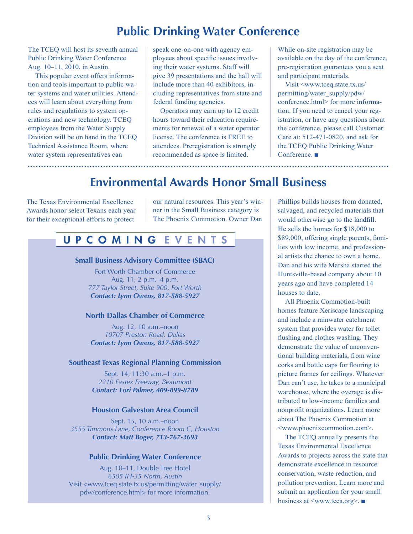### **Public Drinking Water Conference**

The TCEQ will host its seventh annual Public Drinking Water Conference Aug. 10–11, 2010, in Austin.

This popular event offers information and tools important to public water systems and water utilities. Attendees will learn about everything from rules and regulations to system operations and new technology. TCEQ employees from the Water Supply Division will be on hand in the TCEQ Technical Assistance Room, where water system representatives can

speak one-on-one with agency employees about specific issues involving their water systems. Staff will give 39 presentations and the hall will include more than 40 exhibitors, including representatives from state and federal funding agencies.

Operators may earn up to 12 credit hours toward their education requirements for renewal of a water operator license. The conference is FREE to attendees. Preregistration is strongly recommended as space is limited.

While on-site registration may be available on the day of the conference, pre-registration guarantees you a seat and participant materials.

Visit <www.tceq.state.tx.us/ permitting/water\_supply/pdw/ conference.html> for more information. If you need to cancel your registration, or have any questions about the conference, please call Customer Care at: 512-471-0820, and ask for the TCEQ Public Drinking Water Conference. ■

### **Environmental Awards Honor Small Business**

The Texas Environmental Excellence Awards honor select Texans each year for their exceptional efforts to protect

our natural resources. This year's winner in the Small Business category is The Phoenix Commotion. Owner Dan

#### U P C O M I N G E V E N T S

#### **Small Business Advisory Committee (SBAC)**

Fort Worth Chamber of Commerce Aug. 11, 2 p.m.–4 p.m. *777 Taylor Street, Suite 900, Fort Worth Contact: Lynn Owens, 817-588-5927*

#### **North Dallas Chamber of Commerce**

Aug. 12, 10 a.m.–noon *10707 Preston Road, Dallas Contact: Lynn Owens, 817-588-5927*

#### **Southeast Texas Regional Planning Commission**

Sept. 14, 11:30 a.m.–1 p.m. *2210 Eastex Freeway, Beaumont Contact: Lori Palmer, 409-899-8789*

#### **Houston Galveston Area Council**

Sept. 15, 10 a.m.–noon *3555 Timmons Lane, Conference Room C, Houston Contact: Matt Boger, 713-767-3693*

#### **Public Drinking Water Conference**

Aug. 10–11, Double Tree Hotel *6505 IH-35 North, Austin* Visit <www.tceq.state.tx.us/permitting/water\_supply/ pdw/conference.html> for more information.

Phillips builds houses from donated, salvaged, and recycled materials that would otherwise go to the landfill. He sells the homes for \$18,000 to \$89,000, offering single parents, families with low income, and professional artists the chance to own a home. Dan and his wife Marsha started the Huntsville-based company about 10 years ago and have completed 14 houses to date.

All Phoenix Commotion-built homes feature Xeriscape landscaping and include a rainwater catchment system that provides water for toilet flushing and clothes washing. They demonstrate the value of unconventional building materials, from wine corks and bottle caps for flooring to picture frames for ceilings. Whatever Dan can't use, he takes to a municipal warehouse, where the overage is distributed to low-income families and nonprofit organizations. Learn more about The Phoenix Commotion at <www.phoenixcommotion.com>.

The TCEQ annually presents the Texas Environmental Excellence Awards to projects across the state that demonstrate excellence in resource conservation, waste reduction, and pollution prevention. Learn more and submit an application for your small business at <www.teea.org>. ■